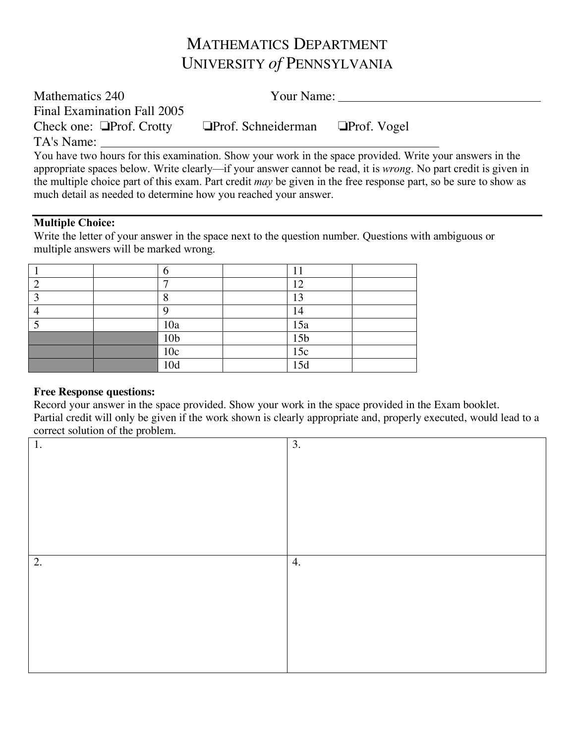# MATHEMATICS DEPARTMENT UNIVERSITY *of* PENNSYLVANIA

| Mathematics 240                |                           | Your Name:                                                                                                         |
|--------------------------------|---------------------------|--------------------------------------------------------------------------------------------------------------------|
| Final Examination Fall 2005    |                           |                                                                                                                    |
| Check one: $\Box$ Prof. Crotty | $\Box$ Prof. Schneiderman | $\Box$ Prof. Vogel                                                                                                 |
| TA's Name:                     |                           |                                                                                                                    |
|                                |                           | You have two hours for this examination. Show your work in the space provided. Write your answers in the           |
|                                |                           | appropriate spaces below Write clearly—if your answer cannot be read it is <i>wrong</i> No part credit is given in |

appropriate spaces below. Write clearly—if your answer cannot be read, it is *wrong*. No part credit is given in the multiple choice part of this exam. Part credit *may* be given in the free response part, so be sure to show as much detail as needed to determine how you reached your answer.

## **Multiple Choice:**

Write the letter of your answer in the space next to the question number. Questions with ambiguous or multiple answers will be marked wrong.

|  | ┍               | 12              |  |
|--|-----------------|-----------------|--|
|  | Ω               | 13              |  |
|  | Ω               | 14              |  |
|  | 10a             | 15a             |  |
|  | 10 <sub>b</sub> | 15 <sub>b</sub> |  |
|  | 10c             | 15c             |  |
|  | 10d             | 15d             |  |

### **Free Response questions:**

Record your answer in the space provided. Show your work in the space provided in the Exam booklet. Partial credit will only be given if the work shown is clearly appropriate and, properly executed, would lead to a correct solution of the problem.

| 1. | 3. |
|----|----|
|    |    |
|    |    |
|    |    |
|    |    |
|    |    |
| 2. | 4. |
|    |    |
|    |    |
|    |    |
|    |    |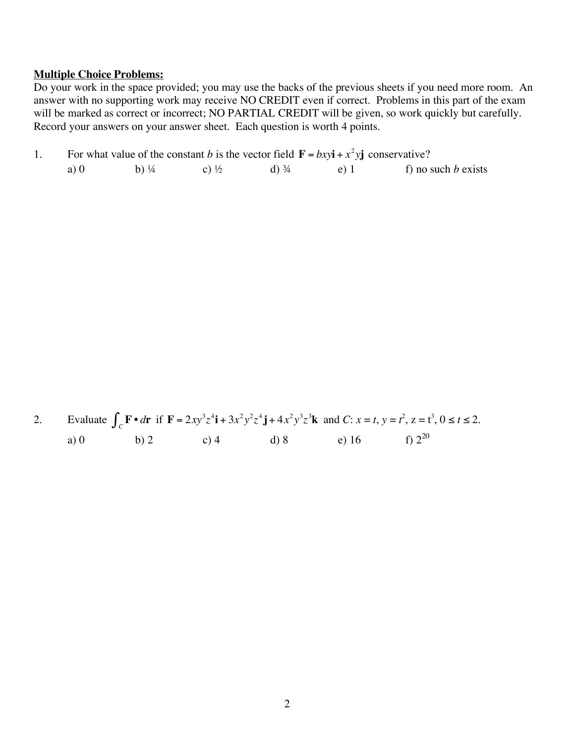#### **Multiple Choice Problems:**

Do your work in the space provided; you may use the backs of the previous sheets if you need more room. An answer with no supporting work may receive NO CREDIT even if correct. Problems in this part of the exam will be marked as correct or incorrect; NO PARTIAL CREDIT will be given, so work quickly but carefully. Record your answers on your answer sheet. Each question is worth 4 points.

|     |                  | For what value of the constant b is the vector field $\mathbf{F} = bxy\mathbf{i} + x^2y\mathbf{j}$ conservative? |                  |         |                       |  |
|-----|------------------|------------------------------------------------------------------------------------------------------------------|------------------|---------|-----------------------|--|
| a)0 | b) $\frac{1}{4}$ | $c)$ 1/2                                                                                                         | d) $\frac{3}{4}$ | $e$ ) 1 | f) no such $b$ exists |  |

|        |      |      |      |       | 2. Evaluate $\int_{C} \mathbf{F} \cdot d\mathbf{r}$ if $\mathbf{F} = 2xy^3z^4\mathbf{i} + 3x^2y^2z^4\mathbf{j} + 4x^2y^3z^3\mathbf{k}$ and $C: x = t, y = t^2, z = t^3, 0 \le t \le 2$ . |
|--------|------|------|------|-------|------------------------------------------------------------------------------------------------------------------------------------------------------------------------------------------|
| a) $0$ | b) 2 | c) 4 | d) 8 | e) 16 | f) $2^{20}$                                                                                                                                                                              |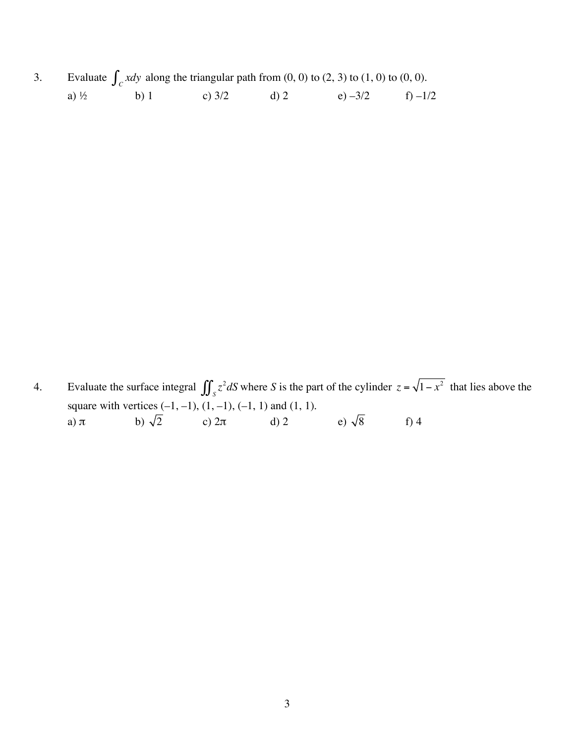3. Evaluate  $\int_C x dy$  along the triangular path from  $(0, 0)$  to  $(2, 3)$  to  $(1, 0)$  to  $(0, 0)$ . a)  $\frac{1}{2}$  b) 1 c)  $\frac{3}{2}$  d) 2 e)  $-\frac{3}{2}$  f)  $-\frac{1}{2}$ 

4. Evaluate the surface integral  $\iint_S z^2 dS$  where *S* is the part of the cylinder  $z = \sqrt{1 - x^2}$  that lies above the square with vertices (-1, -1), (1, -1), (-1, 1) and (1, 1).<br>a)  $\pi$  b)  $\sqrt{2}$  c)  $2\pi$  d) 2 a)  $\pi$  b)  $\sqrt{2}$  c)  $2\pi$  d) 2 e)  $\sqrt{8}$  f) 4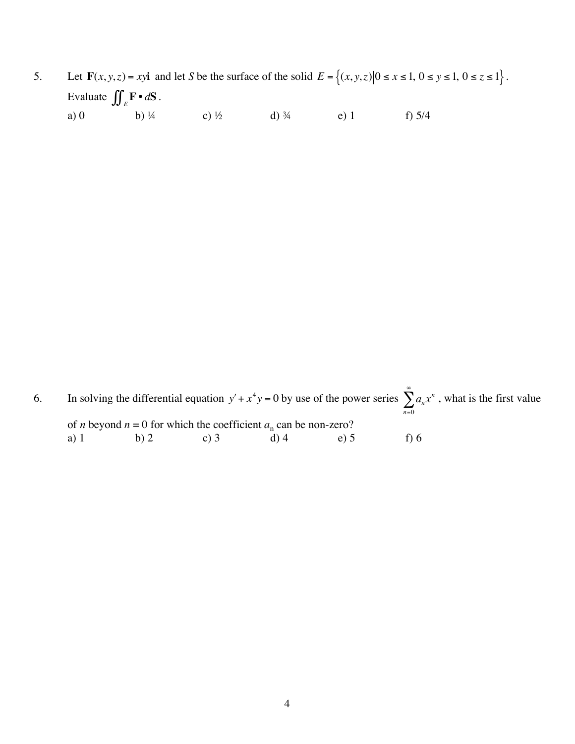5. Let  $\mathbf{F}(x, y, z) = xy\mathbf{i}$  and let *S* be the surface of the solid  $E = \{(x, y, z) | 0 \le x \le 1, 0 \le y \le 1, 0 \le z \le 1\}$ . Evaluate  $\iint_E \mathbf{F} \cdot d\mathbf{S}$ . a) 0 b) ¼ c) ½ d)  $\frac{3}{4}$  e) 1 f) 5/4

6. In solving the differential equation  $y' + x^4y = 0$  by use of the power series  $\sum a_n x^n$ *n*=0  $\sum_{n}^{\infty} a_n x^n$ , what is the first value of *n* beyond  $n = 0$  for which the coefficient  $a_n$  can be non-zero?<br>a) 1 b) 2 c) 3 d) 4 e) 5 a) 1 b) 2 c) 3 d) 4 e) 5 f) 6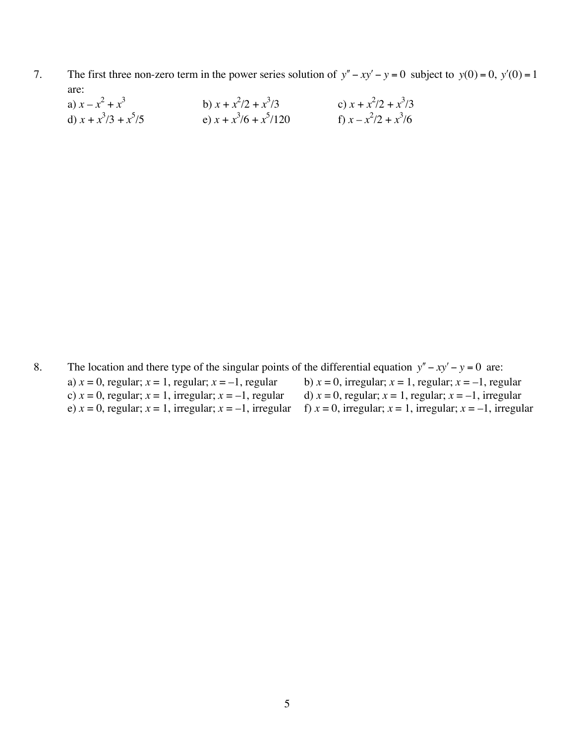- 7. The first three non-zero term in the power series solution of  $y'' xy' y = 0$  subject to  $y(0) = 0$ ,  $y'(0) = 1$ are:
	- a)  $x x^2 + x$ 3 b)  $x + x^2/2 + x^3$  $(x)$  *x* +  $x^2/2 + x^3/3$ d)  $x + x^3/3 + x^5$  $(x + x^3)$ (6 + *x*<sup>5</sup>)  $f(x) = \frac{x^2}{2} + \frac{x^3}{6}$

8. The location and there type of the singular points of the differential equation  $y'' - xy' - y = 0$  are: a)  $x = 0$ , regular;  $x = 1$ , regular;  $x = -1$ , regular b)  $x = 0$ , irregular;  $x = 1$ , regular;  $x = -1$ , regular;  $x = 0$ , regular;  $x = -1$ , irregular d)  $x = 0$ , regular;  $x = 1$ , regular;  $x = -1$ , irregular c)  $x = 0$ , regular;  $x = 1$ , irregular;  $x = -1$ , regular d)  $x = 0$ , regular;  $x = 1$ , regular;  $x = -1$ , irregular e)  $x = 0$ , regular;  $x = 1$ , irregular;  $x = -1$ , irregular;  $x = 1$ , irregular;  $x = -1$ , irregular; f)  $x = 0$ , irregular;  $x = 1$ , irregular;  $x = -1$ , irregular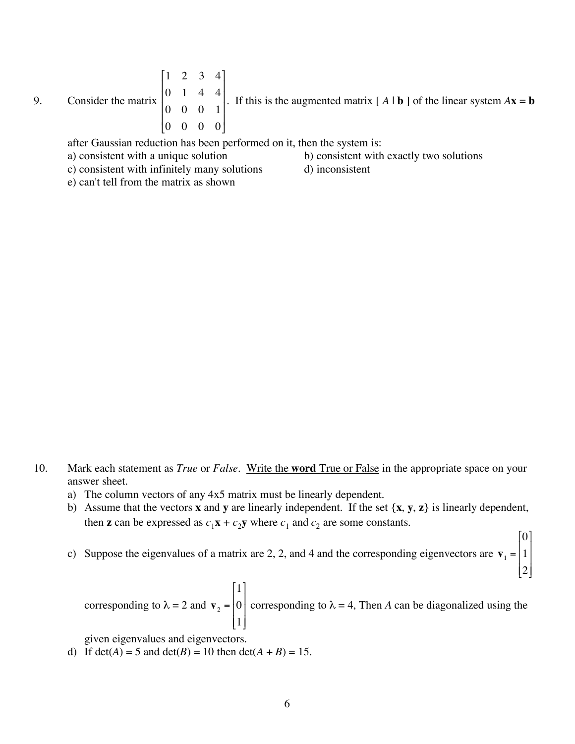9. Consider the matrix 1 2 3 4 0 1 4 4 0 0 0 1 0 0 0 0 [ L  $\mathsf{l}$  $\mathsf{I}$  $\mathsf{l}$  $\mathsf{I}$  $\overline{\phantom{a}}$  $\rfloor$  $\overline{\phantom{a}}$  $\overline{\phantom{a}}$  $\overline{\phantom{a}}$  $\overline{\phantom{a}}$ . If this is the augmented matrix  $[A \mid b]$  of the linear system  $A\mathbf{x} = \mathbf{b}$ 

after Gaussian reduction has been performed on it, then the system is:

a) consistent with a unique solution b) consistent with exactly two solutions

c) consistent with infinitely many solutions d) inconsistent

e) can't tell from the matrix as shown

0

1

[

2

 $\rfloor$ 

 $\overline{\phantom{a}}$ 

l.

 $\mathsf{I}$ 

- 10. Mark each statement as *True* or *False*. Write the **word** True or False in the appropriate space on your answer sheet.
	- a) The column vectors of any 4x5 matrix must be linearly dependent.
	- b) Assume that the vectors **x** and **y** are linearly independent. If the set {**x**, **y**, **z**} is linearly dependent, then **z** can be expressed as  $c_1$ **x** +  $c_2$ **y** where  $c_1$  and  $c_2$  are some constants.
	- c) Suppose the eigenvalues of a matrix are 2, 2, and 4 and the corresponding eigenvectors are  $v_1 =$ 1  $\mathsf{I}$  $\mathsf{I}$  $\overline{\phantom{a}}$  $\overline{\phantom{a}}$

corresponding to  $\lambda = 2$  and  $\mathbf{v}_2$  = 1 0 1 ! L  $\mathsf{l}$  $\mathsf{l}$  $\mathsf{I}$ 1  $\rfloor$  $\overline{\phantom{a}}$  $\overline{\phantom{a}}$  $\overline{\phantom{a}}$ corresponding to  $\lambda = 4$ , Then *A* can be diagonalized using the

given eigenvalues and eigenvectors.

d) If  $det(A) = 5$  and  $det(B) = 10$  then  $det(A + B) = 15$ .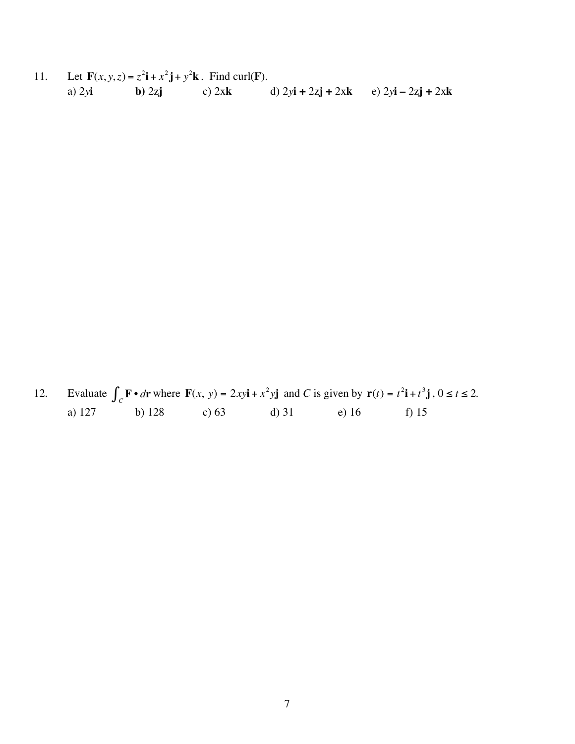Let  $\mathbf{F}(x, y, z) = z^2 \mathbf{i} + x^2 \mathbf{j} + y^2 \mathbf{k}$ . Find curl(F).  $11.$ d)  $2y\mathbf{i} + 2z\mathbf{j} + 2x\mathbf{k}$  e)  $2y\mathbf{i} - 2z\mathbf{j} + 2x\mathbf{k}$ a)  $2y$ i c)  $2xk$  $\mathbf{b}$ ) 2zj

Evaluate  $\int_C \mathbf{F} \cdot d\mathbf{r}$  where  $\mathbf{F}(x, y) = 2xy\mathbf{i} + x^2y\mathbf{j}$  and C is given by  $\mathbf{r}(t) = t^2\mathbf{i} + t^3\mathbf{j}$ ,  $0 \le t \le 2$ . 12. b)  $128$ c)  $63$  $d)$  31 e) 16 f)  $15$ a)  $127$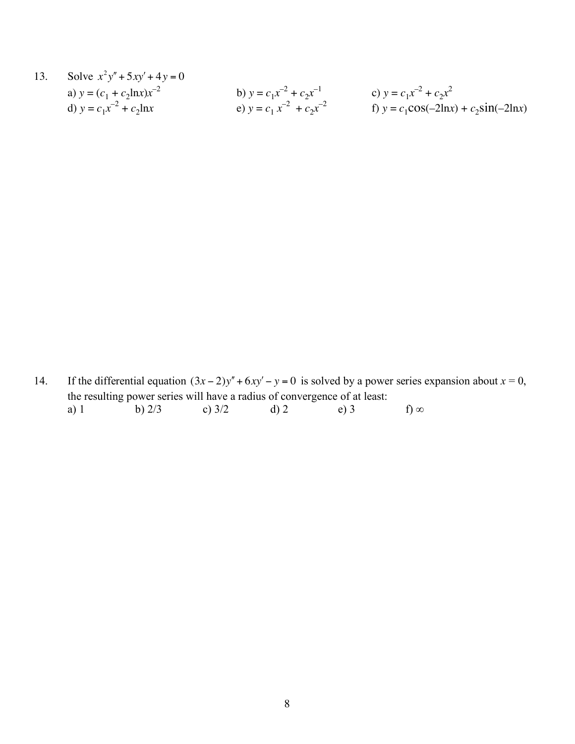13. Solve 
$$
x^2y'' + 5xy' + 4y = 0
$$
  
\na)  $y = (c_1 + c_2 \ln x)x^{-2}$   
\nb)  $y = c_1x^{-2} + c_2x^{-1}$   
\nc)  $y = c_1x^{-2} + c_2x^{2}$   
\ne)  $y = c_1x^{-2} + c_2x^{-2}$   
\nf)  $y = c_1 \cos(-2\ln x) + c_2 \sin(-2\ln x)$ 

14. If the differential equation  $(3x-2)y'' + 6xy' - y = 0$  is solved by a power series expansion about  $x = 0$ , the resulting power series will have a radius of convergence of at least:<br>a) 1 b)  $2/3$  c)  $3/2$  d) 2 e) 3 a) 1 b)  $2/3$  c)  $3/2$  d) 2 e) 3 f) ∞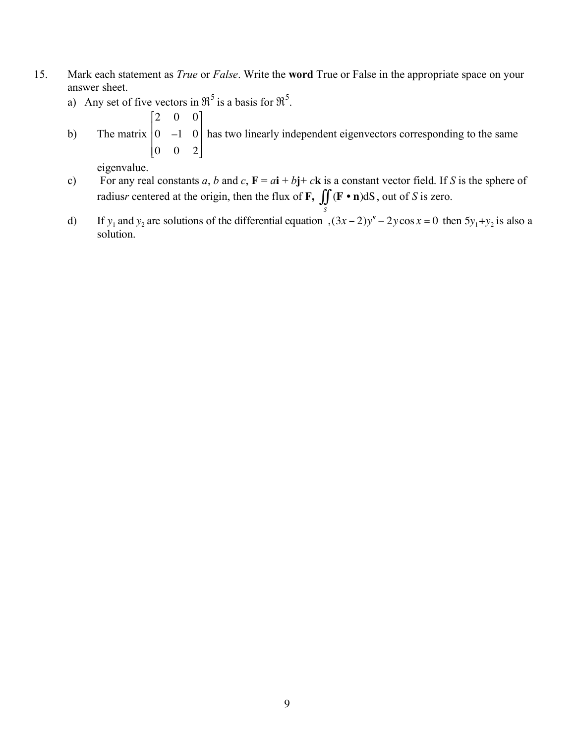- 15. Mark each statement as *True* or *False*. Write the **word** True or False in the appropriate space on your answer sheet.
	- a) Any set of five vectors in  $\mathfrak{R}^5$  is a basis for  $\mathfrak{R}^5$ .
		- 2 0 0 1

[

b) The matrix  $0 \t -1 \t 0$ 0 0 2 L  $\mathsf I$  $\mathsf I$  $\mathsf{I}$  $\rfloor$  $\overline{\phantom{a}}$  $\overline{\phantom{a}}$  $\overline{\phantom{a}}$ has two linearly independent eigenvectors corresponding to the same

eigenvalue.

- c) For any real constants *a*, *b* and *c*,  $\mathbf{F} = a\mathbf{i} + b\mathbf{j} + c\mathbf{k}$  is a constant vector field. If *S* is the sphere of radius*r* centered at the origin, then the flux of **F**,  $\iint (\mathbf{F} \cdot \mathbf{n}) dS$  $\iint_S (\mathbf{F} \cdot \mathbf{n}) dS$ , out of *S* is zero.
- d) If  $y_1$  and  $y_2$  are solutions of the differential equation  $(3x-2)y'' 2y\cos x = 0$  then  $5y_1 + y_2$  is also a solution.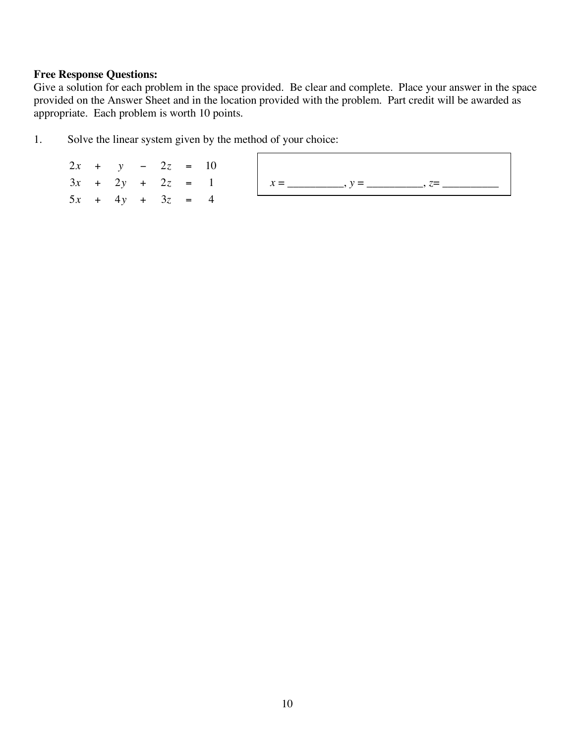#### **Free Response Questions:**

Give a solution for each problem in the space provided. Be clear and complete. Place your answer in the space provided on the Answer Sheet and in the location provided with the problem. Part credit will be awarded as appropriate. Each problem is worth 10 points.

1. Solve the linear system given by the method of your choice:

 $2x + y - 2z = 10$  $3x + 2y + 2z = 1$  $5x + 4y + 3z = 4$ *x* = \_\_\_\_\_\_\_\_\_\_, *y* = \_\_\_\_\_\_\_\_\_\_, *z*= \_\_\_\_\_\_\_\_\_\_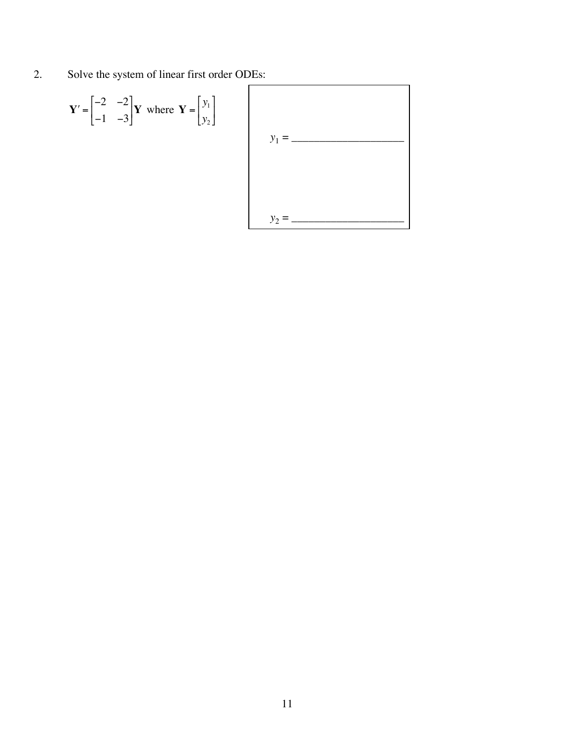2. Solve the system of linear first order ODEs:

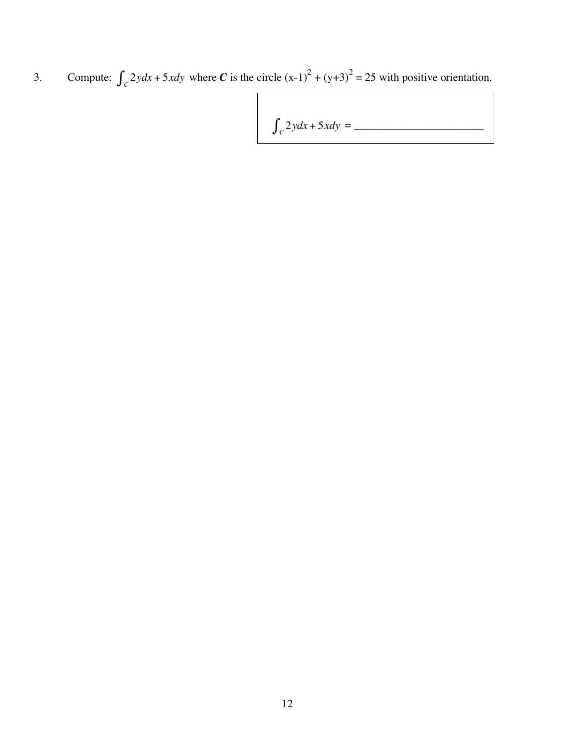3. Compute:  $\int_{C} 2ydx + 5xdy$  where *C* is the circle  $(x-1)^{2} + (y+3)^{2} = 25$  with positive orientation.